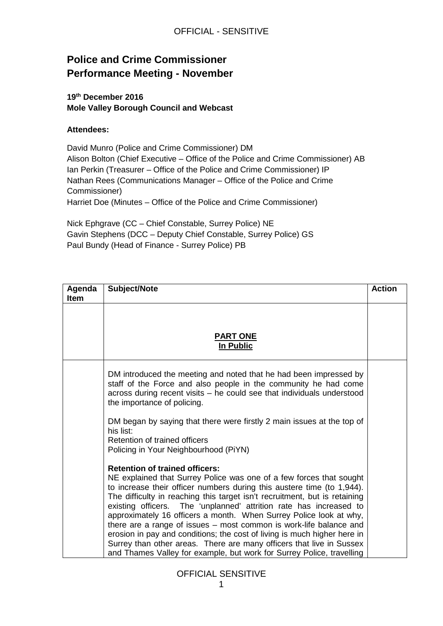# **Police and Crime Commissioner Performance Meeting - November**

### **19th December 2016 Mole Valley Borough Council and Webcast**

### **Attendees:**

David Munro (Police and Crime Commissioner) DM Alison Bolton (Chief Executive – Office of the Police and Crime Commissioner) AB Ian Perkin (Treasurer – Office of the Police and Crime Commissioner) IP Nathan Rees (Communications Manager – Office of the Police and Crime Commissioner) Harriet Doe (Minutes – Office of the Police and Crime Commissioner)

Nick Ephgrave (CC – Chief Constable, Surrey Police) NE Gavin Stephens (DCC – Deputy Chief Constable, Surrey Police) GS Paul Bundy (Head of Finance - Surrey Police) PB

| Agenda      | Subject/Note                                                                                                                                                                                                                                                                                                                                                                                                                                                                                                                                                                                                                                                                                                        | <b>Action</b> |
|-------------|---------------------------------------------------------------------------------------------------------------------------------------------------------------------------------------------------------------------------------------------------------------------------------------------------------------------------------------------------------------------------------------------------------------------------------------------------------------------------------------------------------------------------------------------------------------------------------------------------------------------------------------------------------------------------------------------------------------------|---------------|
| <b>Item</b> |                                                                                                                                                                                                                                                                                                                                                                                                                                                                                                                                                                                                                                                                                                                     |               |
|             |                                                                                                                                                                                                                                                                                                                                                                                                                                                                                                                                                                                                                                                                                                                     |               |
|             |                                                                                                                                                                                                                                                                                                                                                                                                                                                                                                                                                                                                                                                                                                                     |               |
|             | <b>PART ONE</b>                                                                                                                                                                                                                                                                                                                                                                                                                                                                                                                                                                                                                                                                                                     |               |
|             | In Public                                                                                                                                                                                                                                                                                                                                                                                                                                                                                                                                                                                                                                                                                                           |               |
|             |                                                                                                                                                                                                                                                                                                                                                                                                                                                                                                                                                                                                                                                                                                                     |               |
|             | DM introduced the meeting and noted that he had been impressed by<br>staff of the Force and also people in the community he had come<br>across during recent visits - he could see that individuals understood<br>the importance of policing.                                                                                                                                                                                                                                                                                                                                                                                                                                                                       |               |
|             | DM began by saying that there were firstly 2 main issues at the top of<br>his list:<br>Retention of trained officers<br>Policing in Your Neighbourhood (PiYN)                                                                                                                                                                                                                                                                                                                                                                                                                                                                                                                                                       |               |
|             | <b>Retention of trained officers:</b><br>NE explained that Surrey Police was one of a few forces that sought<br>to increase their officer numbers during this austere time (to 1,944).<br>The difficulty in reaching this target isn't recruitment, but is retaining<br>existing officers. The 'unplanned' attrition rate has increased to<br>approximately 16 officers a month. When Surrey Police look at why,<br>there are a range of issues – most common is work-life balance and<br>erosion in pay and conditions; the cost of living is much higher here in<br>Surrey than other areas. There are many officers that live in Sussex<br>and Thames Valley for example, but work for Surrey Police, travelling |               |

OFFICIAL SENSITIVE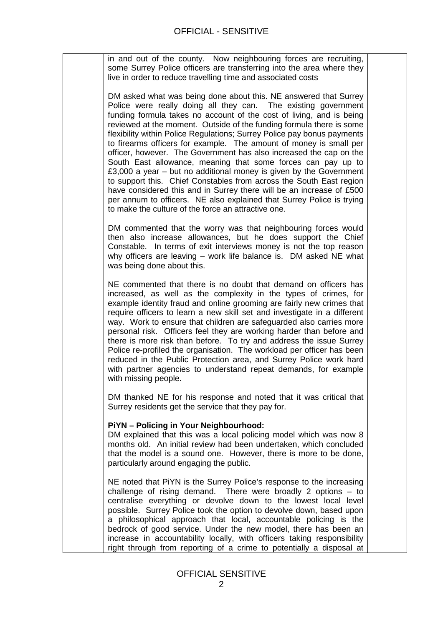in and out of the county. Now neighbouring forces are recruiting, some Surrey Police officers are transferring into the area where they live in order to reduce travelling time and associated costs

DM asked what was being done about this. NE answered that Surrey Police were really doing all they can. The existing government funding formula takes no account of the cost of living, and is being reviewed at the moment. Outside of the funding formula there is some flexibility within Police Regulations; Surrey Police pay bonus payments to firearms officers for example. The amount of money is small per officer, however. The Government has also increased the cap on the South East allowance, meaning that some forces can pay up to £3,000 a year – but no additional money is given by the Government to support this. Chief Constables from across the South East region have considered this and in Surrey there will be an increase of £500 per annum to officers. NE also explained that Surrey Police is trying to make the culture of the force an attractive one.

DM commented that the worry was that neighbouring forces would then also increase allowances, but he does support the Chief Constable. In terms of exit interviews money is not the top reason why officers are leaving – work life balance is. DM asked NE what was being done about this.

NE commented that there is no doubt that demand on officers has increased, as well as the complexity in the types of crimes, for example identity fraud and online grooming are fairly new crimes that require officers to learn a new skill set and investigate in a different way. Work to ensure that children are safeguarded also carries more personal risk. Officers feel they are working harder than before and there is more risk than before. To try and address the issue Surrey Police re-profiled the organisation. The workload per officer has been reduced in the Public Protection area, and Surrey Police work hard with partner agencies to understand repeat demands, for example with missing people.

DM thanked NE for his response and noted that it was critical that Surrey residents get the service that they pay for.

#### **PiYN – Policing in Your Neighbourhood:**

DM explained that this was a local policing model which was now 8 months old. An initial review had been undertaken, which concluded that the model is a sound one. However, there is more to be done, particularly around engaging the public.

NE noted that PiYN is the Surrey Police's response to the increasing challenge of rising demand. There were broadly 2 options – to centralise everything or devolve down to the lowest local level possible. Surrey Police took the option to devolve down, based upon a philosophical approach that local, accountable policing is the bedrock of good service. Under the new model, there has been an increase in accountability locally, with officers taking responsibility right through from reporting of a crime to potentially a disposal at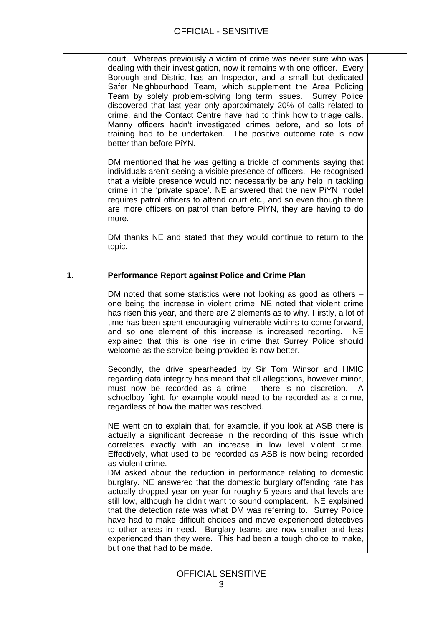## OFFICIAL - SENSITIVE

|    | court. Whereas previously a victim of crime was never sure who was<br>dealing with their investigation, now it remains with one officer. Every<br>Borough and District has an Inspector, and a small but dedicated<br>Safer Neighbourhood Team, which supplement the Area Policing<br>Team by solely problem-solving long term issues. Surrey Police<br>discovered that last year only approximately 20% of calls related to<br>crime, and the Contact Centre have had to think how to triage calls.<br>Manny officers hadn't investigated crimes before, and so lots of<br>training had to be undertaken. The positive outcome rate is now<br>better than before PiYN.                                                                                                                                                                                                                                                     |  |
|----|-----------------------------------------------------------------------------------------------------------------------------------------------------------------------------------------------------------------------------------------------------------------------------------------------------------------------------------------------------------------------------------------------------------------------------------------------------------------------------------------------------------------------------------------------------------------------------------------------------------------------------------------------------------------------------------------------------------------------------------------------------------------------------------------------------------------------------------------------------------------------------------------------------------------------------|--|
|    | DM mentioned that he was getting a trickle of comments saying that<br>individuals aren't seeing a visible presence of officers. He recognised<br>that a visible presence would not necessarily be any help in tackling<br>crime in the 'private space'. NE answered that the new PiYN model<br>requires patrol officers to attend court etc., and so even though there<br>are more officers on patrol than before PiYN, they are having to do<br>more.                                                                                                                                                                                                                                                                                                                                                                                                                                                                      |  |
|    | DM thanks NE and stated that they would continue to return to the<br>topic.                                                                                                                                                                                                                                                                                                                                                                                                                                                                                                                                                                                                                                                                                                                                                                                                                                                 |  |
| 1. | <b>Performance Report against Police and Crime Plan</b>                                                                                                                                                                                                                                                                                                                                                                                                                                                                                                                                                                                                                                                                                                                                                                                                                                                                     |  |
|    | DM noted that some statistics were not looking as good as others -<br>one being the increase in violent crime. NE noted that violent crime<br>has risen this year, and there are 2 elements as to why. Firstly, a lot of<br>time has been spent encouraging vulnerable victims to come forward,<br>and so one element of this increase is increased reporting.<br><b>NE</b><br>explained that this is one rise in crime that Surrey Police should<br>welcome as the service being provided is now better.                                                                                                                                                                                                                                                                                                                                                                                                                   |  |
|    | Secondly, the drive spearheaded by Sir Tom Winsor and HMIC<br>regarding data integrity has meant that all allegations, however minor,<br>must now be recorded as a crime $-$ there is no discretion. A<br>schoolboy fight, for example would need to be recorded as a crime,<br>regardless of how the matter was resolved.                                                                                                                                                                                                                                                                                                                                                                                                                                                                                                                                                                                                  |  |
|    | NE went on to explain that, for example, if you look at ASB there is<br>actually a significant decrease in the recording of this issue which<br>correlates exactly with an increase in low level violent crime.<br>Effectively, what used to be recorded as ASB is now being recorded<br>as violent crime.<br>DM asked about the reduction in performance relating to domestic<br>burglary. NE answered that the domestic burglary offending rate has<br>actually dropped year on year for roughly 5 years and that levels are<br>still low, although he didn't want to sound complacent. NE explained<br>that the detection rate was what DM was referring to. Surrey Police<br>have had to make difficult choices and move experienced detectives<br>to other areas in need. Burglary teams are now smaller and less<br>experienced than they were. This had been a tough choice to make,<br>but one that had to be made. |  |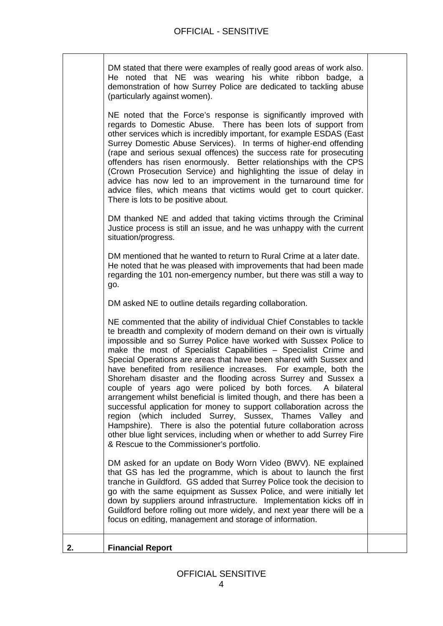| 2. | <b>Financial Report</b>                                                                                                                                                                                                                                                                                                                                                                                                                                                                                                                                                                                                                                                                                                                                                                                                                                                                                                                                                      |  |
|----|------------------------------------------------------------------------------------------------------------------------------------------------------------------------------------------------------------------------------------------------------------------------------------------------------------------------------------------------------------------------------------------------------------------------------------------------------------------------------------------------------------------------------------------------------------------------------------------------------------------------------------------------------------------------------------------------------------------------------------------------------------------------------------------------------------------------------------------------------------------------------------------------------------------------------------------------------------------------------|--|
|    | DM asked for an update on Body Worn Video (BWV). NE explained<br>that GS has led the programme, which is about to launch the first<br>tranche in Guildford. GS added that Surrey Police took the decision to<br>go with the same equipment as Sussex Police, and were initially let<br>down by suppliers around infrastructure. Implementation kicks off in<br>Guildford before rolling out more widely, and next year there will be a<br>focus on editing, management and storage of information.                                                                                                                                                                                                                                                                                                                                                                                                                                                                           |  |
|    | NE commented that the ability of individual Chief Constables to tackle<br>te breadth and complexity of modern demand on their own is virtually<br>impossible and so Surrey Police have worked with Sussex Police to<br>make the most of Specialist Capabilities - Specialist Crime and<br>Special Operations are areas that have been shared with Sussex and<br>have benefited from resilience increases. For example, both the<br>Shoreham disaster and the flooding across Surrey and Sussex a<br>couple of years ago were policed by both forces. A bilateral<br>arrangement whilst beneficial is limited though, and there has been a<br>successful application for money to support collaboration across the<br>region (which included Surrey, Sussex, Thames Valley and<br>Hampshire). There is also the potential future collaboration across<br>other blue light services, including when or whether to add Surrey Fire<br>& Rescue to the Commissioner's portfolio. |  |
|    | DM asked NE to outline details regarding collaboration.                                                                                                                                                                                                                                                                                                                                                                                                                                                                                                                                                                                                                                                                                                                                                                                                                                                                                                                      |  |
|    | DM mentioned that he wanted to return to Rural Crime at a later date.<br>He noted that he was pleased with improvements that had been made<br>regarding the 101 non-emergency number, but there was still a way to<br>go.                                                                                                                                                                                                                                                                                                                                                                                                                                                                                                                                                                                                                                                                                                                                                    |  |
|    | DM thanked NE and added that taking victims through the Criminal<br>Justice process is still an issue, and he was unhappy with the current<br>situation/progress.                                                                                                                                                                                                                                                                                                                                                                                                                                                                                                                                                                                                                                                                                                                                                                                                            |  |
|    | NE noted that the Force's response is significantly improved with<br>regards to Domestic Abuse. There has been lots of support from<br>other services which is incredibly important, for example ESDAS (East<br>Surrey Domestic Abuse Services). In terms of higher-end offending<br>(rape and serious sexual offences) the success rate for prosecuting<br>offenders has risen enormously. Better relationships with the CPS<br>(Crown Prosecution Service) and highlighting the issue of delay in<br>advice has now led to an improvement in the turnaround time for<br>advice files, which means that victims would get to court quicker.<br>There is lots to be positive about.                                                                                                                                                                                                                                                                                          |  |
|    | demonstration of how Surrey Police are dedicated to tackling abuse<br>(particularly against women).                                                                                                                                                                                                                                                                                                                                                                                                                                                                                                                                                                                                                                                                                                                                                                                                                                                                          |  |
|    | DM stated that there were examples of really good areas of work also.<br>He noted that NE was wearing his white ribbon badge, a                                                                                                                                                                                                                                                                                                                                                                                                                                                                                                                                                                                                                                                                                                                                                                                                                                              |  |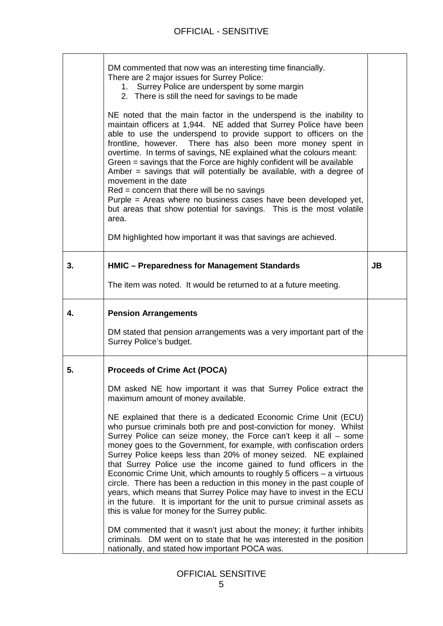|    | DM commented that now was an interesting time financially.<br>There are 2 major issues for Surrey Police:<br>1. Surrey Police are underspent by some margin<br>2. There is still the need for savings to be made<br>NE noted that the main factor in the underspend is the inability to<br>maintain officers at 1,944. NE added that Surrey Police have been<br>able to use the underspend to provide support to officers on the<br>frontline, however. There has also been more money spent in<br>overtime. In terms of savings, NE explained what the colours meant:<br>Green = savings that the Force are highly confident will be available<br>Amber = savings that will potentially be available, with a degree of<br>movement in the date<br>$Red = concern$ that there will be no savings<br>Purple = Areas where no business cases have been developed yet,<br>but areas that show potential for savings. This is the most volatile<br>area.<br>DM highlighted how important it was that savings are achieved.                                                                                                                   |           |
|----|------------------------------------------------------------------------------------------------------------------------------------------------------------------------------------------------------------------------------------------------------------------------------------------------------------------------------------------------------------------------------------------------------------------------------------------------------------------------------------------------------------------------------------------------------------------------------------------------------------------------------------------------------------------------------------------------------------------------------------------------------------------------------------------------------------------------------------------------------------------------------------------------------------------------------------------------------------------------------------------------------------------------------------------------------------------------------------------------------------------------------------------|-----------|
| 3. | HMIC - Preparedness for Management Standards                                                                                                                                                                                                                                                                                                                                                                                                                                                                                                                                                                                                                                                                                                                                                                                                                                                                                                                                                                                                                                                                                             | <b>JB</b> |
|    | The item was noted. It would be returned to at a future meeting.                                                                                                                                                                                                                                                                                                                                                                                                                                                                                                                                                                                                                                                                                                                                                                                                                                                                                                                                                                                                                                                                         |           |
| 4. | <b>Pension Arrangements</b><br>DM stated that pension arrangements was a very important part of the<br>Surrey Police's budget.                                                                                                                                                                                                                                                                                                                                                                                                                                                                                                                                                                                                                                                                                                                                                                                                                                                                                                                                                                                                           |           |
| 5. | <b>Proceeds of Crime Act (POCA)</b><br>DM asked NE how important it was that Surrey Police extract the<br>maximum amount of money available.<br>NE explained that there is a dedicated Economic Crime Unit (ECU)<br>who pursue criminals both pre and post-conviction for money. Whilst<br>Surrey Police can seize money, the Force can't keep it all - some<br>money goes to the Government, for example, with confiscation orders<br>Surrey Police keeps less than 20% of money seized. NE explained<br>that Surrey Police use the income gained to fund officers in the<br>Economic Crime Unit, which amounts to roughly 5 officers $-$ a virtuous<br>circle. There has been a reduction in this money in the past couple of<br>years, which means that Surrey Police may have to invest in the ECU<br>in the future. It is important for the unit to pursue criminal assets as<br>this is value for money for the Surrey public.<br>DM commented that it wasn't just about the money; it further inhibits<br>criminals. DM went on to state that he was interested in the position<br>nationally, and stated how important POCA was. |           |